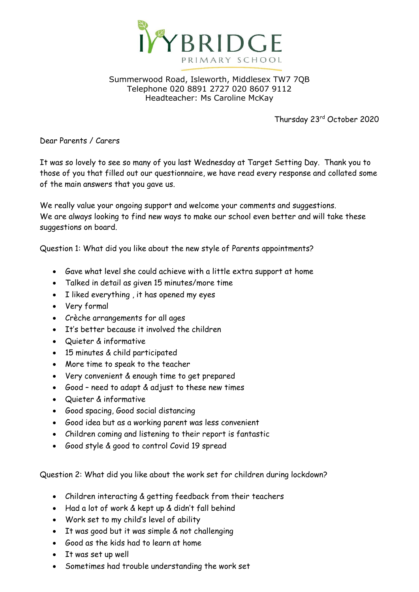

## Summerwood Road, Isleworth, Middlesex TW7 7QB Telephone 020 8891 2727 020 8607 9112 Headteacher: Ms Caroline McKay

Thursday 23rd October 2020

Dear Parents / Carers

It was so lovely to see so many of you last Wednesday at Target Setting Day. Thank you to those of you that filled out our questionnaire, we have read every response and collated some of the main answers that you gave us.

We really value your ongoing support and welcome your comments and suggestions. We are always looking to find new ways to make our school even better and will take these suggestions on board.

Question 1: What did you like about the new style of Parents appointments?

- Gave what level she could achieve with a little extra support at home
- Talked in detail as given 15 minutes/more time
- I liked everything, it has opened my eyes
- Very formal
- Crèche arrangements for all ages
- It's better because it involved the children
- Quieter & informative
- 15 minutes & child participated
- More time to speak to the teacher
- Very convenient & enough time to get prepared
- Good need to adapt & adjust to these new times
- Quieter & informative
- Good spacing, Good social distancing
- Good idea but as a working parent was less convenient
- Children coming and listening to their report is fantastic
- Good style & good to control Covid 19 spread

Question 2: What did you like about the work set for children during lockdown?

- Children interacting & getting feedback from their teachers
- Had a lot of work & kept up & didn't fall behind
- Work set to my child's level of ability
- It was good but it was simple & not challenging
- Good as the kids had to learn at home
- It was set up well
- Sometimes had trouble understanding the work set